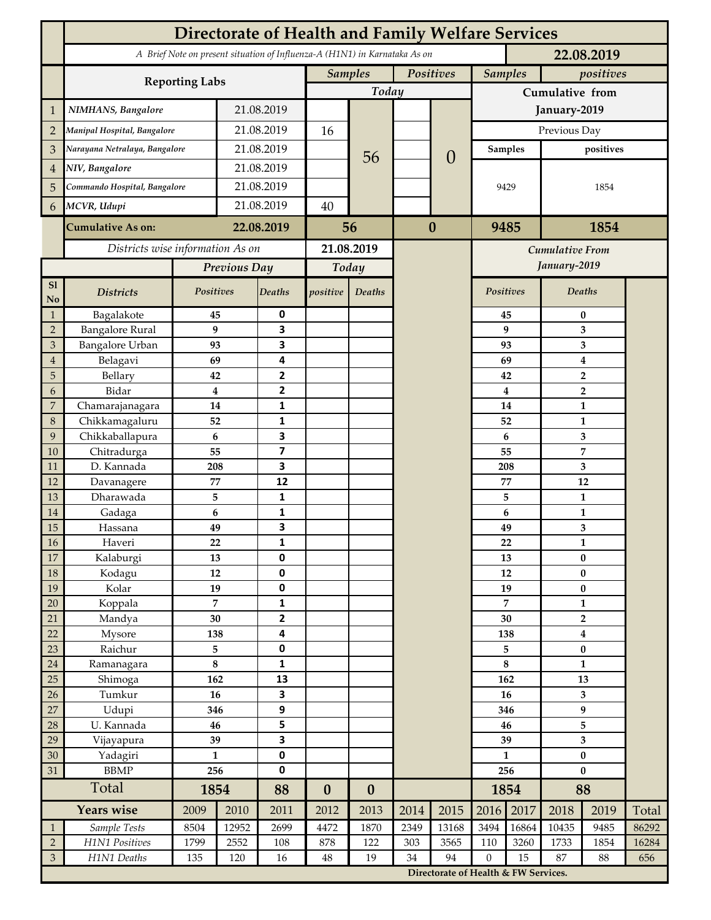|                      | <b>Directorate of Health and Family Welfare Services</b>                                 |              |                |                              |                             |                  |          |                                      |                  |           |                         |               |       |  |
|----------------------|------------------------------------------------------------------------------------------|--------------|----------------|------------------------------|-----------------------------|------------------|----------|--------------------------------------|------------------|-----------|-------------------------|---------------|-------|--|
|                      | A Brief Note on present situation of Influenza-A (H1N1) in Karnataka As on<br>22.08.2019 |              |                |                              |                             |                  |          |                                      |                  |           |                         |               |       |  |
|                      |                                                                                          |              |                |                              | Positives<br><b>Samples</b> |                  |          | <b>Samples</b><br>positives          |                  |           |                         |               |       |  |
|                      | <b>Reporting Labs</b>                                                                    |              |                |                              | Today                       |                  |          |                                      | Cumulative from  |           |                         |               |       |  |
| $\mathbf 1$          | NIMHANS, Bangalore                                                                       | 21.08.2019   |                |                              |                             |                  |          | January-2019                         |                  |           |                         |               |       |  |
| $\overline{2}$       | Manipal Hospital, Bangalore                                                              |              | 21.08.2019     |                              | 16                          |                  |          |                                      | Previous Day     |           |                         |               |       |  |
| 3                    | Narayana Netralaya, Bangalore                                                            |              |                | 21.08.2019                   |                             |                  |          | $\overline{0}$                       | <b>Samples</b>   |           | positives               |               |       |  |
| 4                    | NIV, Bangalore                                                                           |              | 21.08.2019     |                              |                             | 56               |          |                                      | 9429             |           | 1854                    |               |       |  |
| 5                    | Commando Hospital, Bangalore                                                             |              | 21.08.2019     |                              |                             |                  |          |                                      |                  |           |                         |               |       |  |
| 6                    | MCVR, Udupi                                                                              |              | 21.08.2019     |                              | 40                          |                  |          |                                      |                  |           |                         |               |       |  |
|                      | <b>Cumulative As on:</b>                                                                 | 22.08.2019   |                |                              | 56                          |                  | $\bf{0}$ | 9485                                 |                  |           | 1854                    |               |       |  |
|                      | Districts wise information As on                                                         |              |                | 21.08.2019                   |                             |                  |          | Cumulative From                      |                  |           |                         |               |       |  |
|                      |                                                                                          | Previous Day |                | Today                        |                             |                  |          | January-2019                         |                  |           |                         |               |       |  |
| S1<br>N <sub>o</sub> | <b>Districts</b>                                                                         | Positives    |                | <b>Deaths</b>                | positive                    | Deaths           |          |                                      | <b>Positives</b> |           |                         | <b>Deaths</b> |       |  |
| $\mathbf{1}$         | Bagalakote                                                                               | 45           |                | 0                            |                             |                  |          |                                      |                  | 45        |                         | $\bf{0}$      |       |  |
| $\overline{2}$       | <b>Bangalore Rural</b>                                                                   |              | 9              | 3                            |                             |                  |          |                                      |                  | 9         | 3                       |               |       |  |
| $\mathfrak{Z}$       | Bangalore Urban                                                                          | 93           |                | 3                            |                             |                  |          |                                      |                  | 93        | 3                       |               |       |  |
| $\overline{4}$       | Belagavi                                                                                 | 69           |                | 4                            |                             |                  |          |                                      | 69               | 4         |                         |               |       |  |
| 5                    | Bellary                                                                                  | 42           |                | $\overline{2}$               |                             |                  |          |                                      |                  | 42        | $\overline{2}$          |               |       |  |
| 6                    | Bidar                                                                                    |              | 4              | $\mathbf{2}$                 |                             |                  |          |                                      | $\boldsymbol{4}$ |           | $\overline{2}$          |               |       |  |
| 7                    | Chamarajanagara                                                                          | 14           |                | $\mathbf{1}$                 |                             |                  |          |                                      |                  | 14        |                         | 1             |       |  |
| 8                    | Chikkamagaluru                                                                           | 52           |                | $\mathbf{1}$                 |                             |                  |          |                                      |                  | 52        |                         | 1             |       |  |
| 9                    | Chikkaballapura                                                                          | 6            |                | 3                            |                             |                  |          |                                      |                  | 6         |                         | 3             |       |  |
| 10                   | Chitradurga                                                                              | 55           |                | $\overline{\mathbf{z}}$<br>3 |                             |                  |          |                                      |                  | 55        |                         | 7             |       |  |
| 11<br>12             | D. Kannada<br>Davanagere                                                                 | 208<br>77    |                | 12                           |                             |                  |          |                                      |                  | 208<br>77 |                         | 3             |       |  |
| 13                   | Dharawada                                                                                |              | 5              | $\mathbf{1}$                 |                             |                  |          |                                      |                  | 5         | 12<br>$\mathbf{1}$      |               |       |  |
| 14                   | Gadaga                                                                                   | 6            |                | 1                            |                             |                  |          |                                      |                  | 6         | $\mathbf{1}$            |               |       |  |
| 15                   | Hassana                                                                                  | 49           |                | 3                            |                             |                  |          |                                      |                  | 49        | 3                       |               |       |  |
| $16\,$               | Haveri                                                                                   | 22           |                | 1                            |                             |                  |          |                                      | ${\bf 22}$       |           | $\mathbf{1}$            |               |       |  |
| 17                   | Kalaburgi                                                                                | 13           |                | $\mathbf 0$                  |                             |                  |          |                                      | 13               |           | $\bf{0}$                |               |       |  |
| $18\,$               | Kodagu                                                                                   | $12\,$       |                | $\pmb{0}$                    |                             |                  |          |                                      | $12\,$           |           | $\pmb{0}$               |               |       |  |
| 19                   | Kolar                                                                                    | 19           |                | $\pmb{0}$                    |                             |                  |          |                                      | 19               |           | $\pmb{0}$               |               |       |  |
| 20                   | Koppala                                                                                  |              | $\overline{7}$ | $\mathbf{1}$                 |                             |                  |          |                                      | $\overline{7}$   |           | $\mathbf{1}$            |               |       |  |
| 21                   | Mandya                                                                                   | 30           |                | $\mathbf{2}$                 |                             |                  |          |                                      | 30               |           | $\overline{2}$          |               |       |  |
| 22                   | Mysore                                                                                   | 138          |                | 4                            |                             |                  |          |                                      | 138              |           | $\overline{\mathbf{4}}$ |               |       |  |
| 23                   | Raichur                                                                                  | 5            |                | $\pmb{0}$                    |                             |                  |          |                                      | 5                |           | $\bf{0}$                |               |       |  |
| $24\,$               | Ramanagara                                                                               | $\bf 8$      |                | $\mathbf{1}$                 |                             |                  |          |                                      | 8                |           | $\mathbf{1}$            |               |       |  |
| 25                   | Shimoga                                                                                  | 162          |                | 13                           |                             |                  |          |                                      | 162              |           | 13                      |               |       |  |
| 26                   | Tumkur                                                                                   | 16           |                | 3                            |                             |                  |          |                                      | 16               |           | $\overline{\mathbf{3}}$ |               |       |  |
| 27                   | Udupi<br>U. Kannada                                                                      | 346<br>46    |                | 9<br>5                       |                             |                  |          |                                      | 346              |           | 9                       |               |       |  |
| 28<br>29             |                                                                                          | 39           |                | $\overline{\mathbf{3}}$      |                             |                  |          |                                      |                  | 46<br>39  |                         | 5<br>3        |       |  |
| $30\,$               | Vijayapura<br>Yadagiri                                                                   | $\mathbf{1}$ |                | $\pmb{0}$                    |                             |                  |          |                                      | $\mathbf{1}$     |           | $\pmb{0}$               |               |       |  |
| 31                   | <b>BBMP</b>                                                                              | 256          |                | $\pmb{0}$                    |                             |                  |          |                                      | 256              |           | $\bf{0}$                |               |       |  |
|                      | Total                                                                                    |              | 1854           |                              | $\boldsymbol{0}$            | $\boldsymbol{0}$ |          |                                      | 1854             |           | 88                      |               |       |  |
|                      | Years wise                                                                               | 2009         | 2010           | 88<br>2011                   | 2012                        | 2013             | 2014     | 2015                                 | 2016             | 2017      | 2018                    | 2019          | Total |  |
| $\mathbf{1}$         | Sample Tests                                                                             | 8504         | 12952          | 2699                         | 4472                        | 1870             | 2349     | 13168                                | 3494             | 16864     | 10435                   | 9485          | 86292 |  |
| $\overline{2}$       | H1N1 Positives                                                                           | 1799         | 2552           | 108                          | 878                         | 122              | 303      | 3565                                 | 110              | 3260      | 1733                    | 1854          | 16284 |  |
| $\sqrt{3}$           | H1N1 Deaths                                                                              | 135          | 120            | 16                           | $48\,$                      | 19               | 34       | 94                                   | $\mathbf{0}$     | 15        | 87                      | 88            | 656   |  |
|                      |                                                                                          |              |                |                              |                             |                  |          | Directorate of Health & FW Services. |                  |           |                         |               |       |  |